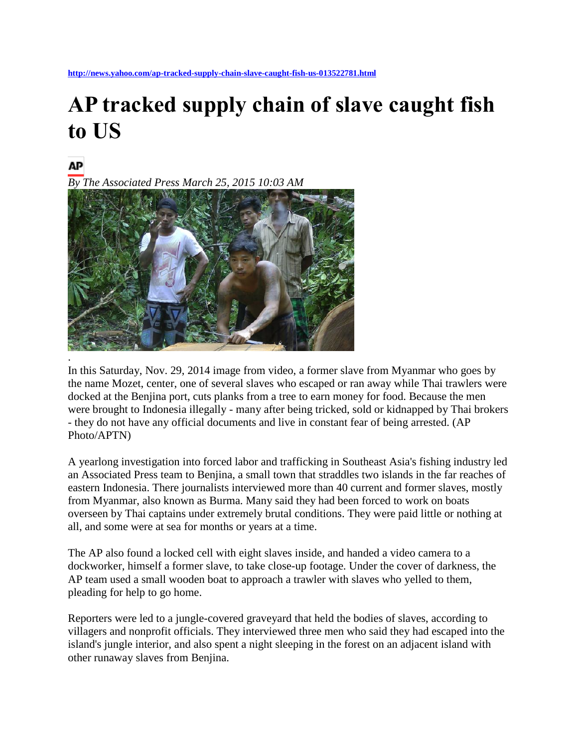## **AP tracked supply chain of slave caught fish to US**

## ΛP

.

*By The Associated Press March 25, 2015 10:03 AM* 



In this Saturday, Nov. 29, 2014 image from video, a former slave from Myanmar who goes by the name Mozet, center, one of several slaves who escaped or ran away while Thai trawlers were docked at the Benjina port, cuts planks from a tree to earn money for food. Because the men were brought to Indonesia illegally - many after being tricked, sold or kidnapped by Thai brokers - they do not have any official documents and live in constant fear of being arrested. (AP Photo/APTN)

A yearlong investigation into forced labor and trafficking in Southeast Asia's fishing industry led an Associated Press team to Benjina, a small town that straddles two islands in the far reaches of eastern Indonesia. There journalists interviewed more than 40 current and former slaves, mostly from Myanmar, also known as Burma. Many said they had been forced to work on boats overseen by Thai captains under extremely brutal conditions. They were paid little or nothing at all, and some were at sea for months or years at a time.

The AP also found a locked cell with eight slaves inside, and handed a video camera to a dockworker, himself a former slave, to take close-up footage. Under the cover of darkness, the AP team used a small wooden boat to approach a trawler with slaves who yelled to them, pleading for help to go home.

Reporters were led to a jungle-covered graveyard that held the bodies of slaves, according to villagers and nonprofit officials. They interviewed three men who said they had escaped into the island's jungle interior, and also spent a night sleeping in the forest on an adjacent island with other runaway slaves from Benjina.